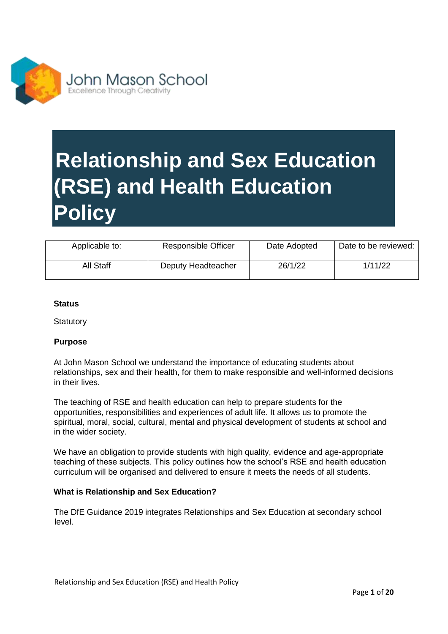

## **Relationship and Sex Education (RSE) and Health Education Policy**

| Applicable to: | <b>Responsible Officer</b> | Date Adopted | Date to be reviewed: |
|----------------|----------------------------|--------------|----------------------|
| All Staff      | Deputy Headteacher         | 26/1/22      | 1/11/22              |

#### **Status**

**Statutory** 

#### **Purpose**

At John Mason School we understand the importance of educating students about relationships, sex and their health, for them to make responsible and well-informed decisions in their lives.

The teaching of RSE and health education can help to prepare students for the opportunities, responsibilities and experiences of adult life. It allows us to promote the spiritual, moral, social, cultural, mental and physical development of students at school and in the wider society.

We have an obligation to provide students with high quality, evidence and age-appropriate teaching of these subjects. This policy outlines how the school's RSE and health education curriculum will be organised and delivered to ensure it meets the needs of all students.

#### **What is Relationship and Sex Education?**

The DfE Guidance 2019 integrates Relationships and Sex Education at secondary school level.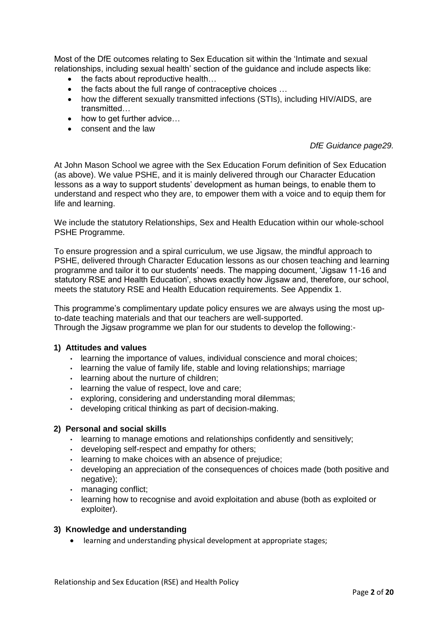Most of the DfE outcomes relating to Sex Education sit within the 'Intimate and sexual relationships, including sexual health' section of the guidance and include aspects like:

- the facts about reproductive health...
- the facts about the full range of contraceptive choices ...
- how the different sexually transmitted infections (STIs), including HIV/AIDS, are transmitted…
- how to get further advice...
- consent and the law

#### *DfE Guidance page29.*

At John Mason School we agree with the Sex Education Forum definition of Sex Education (as above). We value PSHE, and it is mainly delivered through our Character Education lessons as a way to support students' development as human beings, to enable them to understand and respect who they are, to empower them with a voice and to equip them for life and learning.

We include the statutory Relationships, Sex and Health Education within our whole-school PSHE Programme.

To ensure progression and a spiral curriculum, we use Jigsaw, the mindful approach to PSHE, delivered through Character Education lessons as our chosen teaching and learning programme and tailor it to our students' needs. The mapping document, 'Jigsaw 11-16 and statutory RSE and Health Education', shows exactly how Jigsaw and, therefore, our school, meets the statutory RSE and Health Education requirements. See Appendix 1.

This programme's complimentary update policy ensures we are always using the most upto-date teaching materials and that our teachers are well-supported. Through the Jigsaw programme we plan for our students to develop the following:-

#### **1) Attitudes and values**

- learning the importance of values, individual conscience and moral choices;
- learning the value of family life, stable and loving relationships; marriage
- learning about the nurture of children;
- learning the value of respect, love and care;
- exploring, considering and understanding moral dilemmas;
- developing critical thinking as part of decision-making.

#### **2) Personal and social skills**

- learning to manage emotions and relationships confidently and sensitively;
- developing self-respect and empathy for others;
- learning to make choices with an absence of prejudice;
- developing an appreciation of the consequences of choices made (both positive and negative);
- managing conflict;
- learning how to recognise and avoid exploitation and abuse (both as exploited or exploiter).

#### **3) Knowledge and understanding**

learning and understanding physical development at appropriate stages;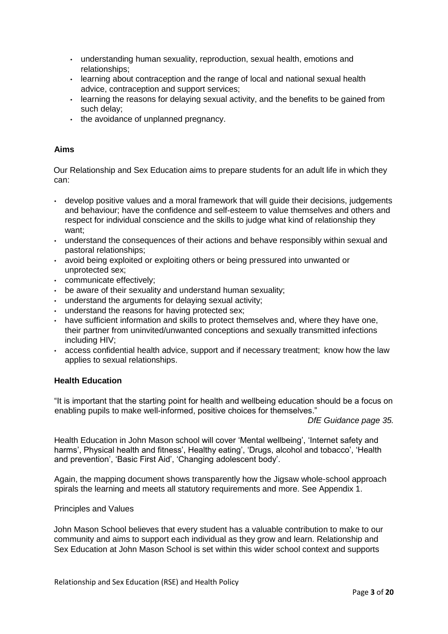- understanding human sexuality, reproduction, sexual health, emotions and relationships;
- learning about contraception and the range of local and national sexual health advice, contraception and support services;
- learning the reasons for delaying sexual activity, and the benefits to be gained from such delay;
- the avoidance of unplanned pregnancy.

#### **Aims**

Our Relationship and Sex Education aims to prepare students for an adult life in which they can:

- develop positive values and a moral framework that will guide their decisions, judgements and behaviour; have the confidence and self-esteem to value themselves and others and respect for individual conscience and the skills to judge what kind of relationship they want;
- understand the consequences of their actions and behave responsibly within sexual and pastoral relationships;
- avoid being exploited or exploiting others or being pressured into unwanted or unprotected sex;
- communicate effectively;
- be aware of their sexuality and understand human sexuality;
- understand the arguments for delaying sexual activity;
- understand the reasons for having protected sex;
- have sufficient information and skills to protect themselves and, where they have one, their partner from uninvited/unwanted conceptions and sexually transmitted infections including HIV;
- access confidential health advice, support and if necessary treatment; know how the law applies to sexual relationships.

#### **Health Education**

"It is important that the starting point for health and wellbeing education should be a focus on enabling pupils to make well-informed, positive choices for themselves."

*DfE Guidance page 35.*

Health Education in John Mason school will cover 'Mental wellbeing', 'Internet safety and harms', Physical health and fitness', Healthy eating', 'Drugs, alcohol and tobacco', 'Health and prevention', 'Basic First Aid', 'Changing adolescent body'.

Again, the mapping document shows transparently how the Jigsaw whole-school approach spirals the learning and meets all statutory requirements and more. See Appendix 1.

#### Principles and Values

John Mason School believes that every student has a valuable contribution to make to our community and aims to support each individual as they grow and learn. Relationship and Sex Education at John Mason School is set within this wider school context and supports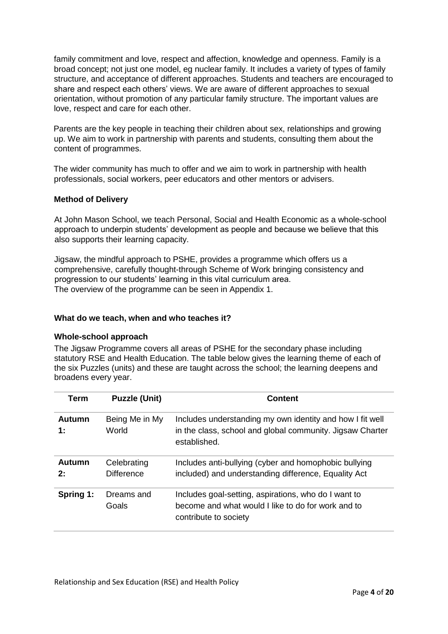family commitment and love, respect and affection, knowledge and openness. Family is a broad concept; not just one model, eg nuclear family. It includes a variety of types of family structure, and acceptance of different approaches. Students and teachers are encouraged to share and respect each others' views. We are aware of different approaches to sexual orientation, without promotion of any particular family structure. The important values are love, respect and care for each other.

Parents are the key people in teaching their children about sex, relationships and growing up. We aim to work in partnership with parents and students, consulting them about the content of programmes.

The wider community has much to offer and we aim to work in partnership with health professionals, social workers, peer educators and other mentors or advisers.

#### **Method of Delivery**

At John Mason School, we teach Personal, Social and Health Economic as a whole-school approach to underpin students' development as people and because we believe that this also supports their learning capacity.

Jigsaw, the mindful approach to PSHE, provides a programme which offers us a comprehensive, carefully thought-through Scheme of Work bringing consistency and progression to our students' learning in this vital curriculum area. The overview of the programme can be seen in Appendix 1.

#### **What do we teach, when and who teaches it?**

#### **Whole-school approach**

The Jigsaw Programme covers all areas of PSHE for the secondary phase including statutory RSE and Health Education. The table below gives the learning theme of each of the six Puzzles (units) and these are taught across the school; the learning deepens and broadens every year.

| Term                | <b>Puzzle (Unit)</b>             | <b>Content</b>                                                                                                                         |
|---------------------|----------------------------------|----------------------------------------------------------------------------------------------------------------------------------------|
| Autumn<br>1:        | Being Me in My<br>World          | Includes understanding my own identity and how I fit well<br>in the class, school and global community. Jigsaw Charter<br>established. |
| <b>Autumn</b><br>2: | Celebrating<br><b>Difference</b> | Includes anti-bullying (cyber and homophobic bullying<br>included) and understanding difference, Equality Act                          |
| Spring 1:           | Dreams and<br>Goals              | Includes goal-setting, aspirations, who do I want to<br>become and what would I like to do for work and to<br>contribute to society    |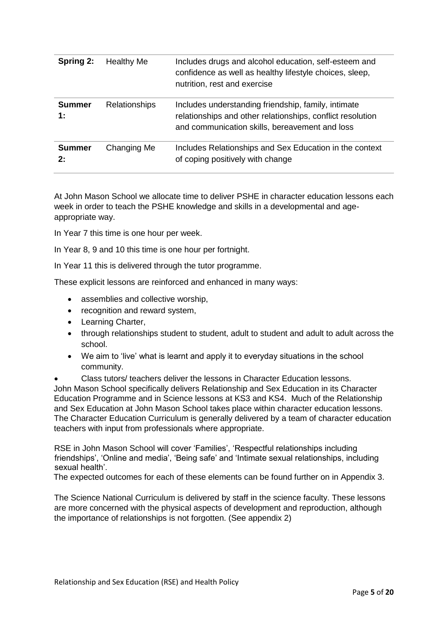| Spring 2:                     | Healthy Me           | Includes drugs and alcohol education, self-esteem and<br>confidence as well as healthy lifestyle choices, sleep,<br>nutrition, rest and exercise                    |
|-------------------------------|----------------------|---------------------------------------------------------------------------------------------------------------------------------------------------------------------|
| <b>Summer</b><br>$\ddagger$ : | <b>Relationships</b> | Includes understanding friendship, family, intimate<br>relationships and other relationships, conflict resolution<br>and communication skills, bereavement and loss |
| <b>Summer</b><br>2:           | Changing Me          | Includes Relationships and Sex Education in the context<br>of coping positively with change                                                                         |

At John Mason School we allocate time to deliver PSHE in character education lessons each week in order to teach the PSHE knowledge and skills in a developmental and ageappropriate way.

In Year 7 this time is one hour per week.

In Year 8, 9 and 10 this time is one hour per fortnight.

In Year 11 this is delivered through the tutor programme.

These explicit lessons are reinforced and enhanced in many ways:

- assemblies and collective worship,
- recognition and reward system,
- Learning Charter,
- through relationships student to student, adult to student and adult to adult across the school.
- We aim to 'live' what is learnt and apply it to everyday situations in the school community.
- Class tutors/ teachers deliver the lessons in Character Education lessons.

John Mason School specifically delivers Relationship and Sex Education in its Character Education Programme and in Science lessons at KS3 and KS4. Much of the Relationship and Sex Education at John Mason School takes place within character education lessons. The Character Education Curriculum is generally delivered by a team of character education teachers with input from professionals where appropriate.

RSE in John Mason School will cover 'Families', 'Respectful relationships including friendships', 'Online and media', 'Being safe' and 'Intimate sexual relationships, including sexual health'.

The expected outcomes for each of these elements can be found further on in Appendix 3.

The Science National Curriculum is delivered by staff in the science faculty. These lessons are more concerned with the physical aspects of development and reproduction, although the importance of relationships is not forgotten. (See appendix 2)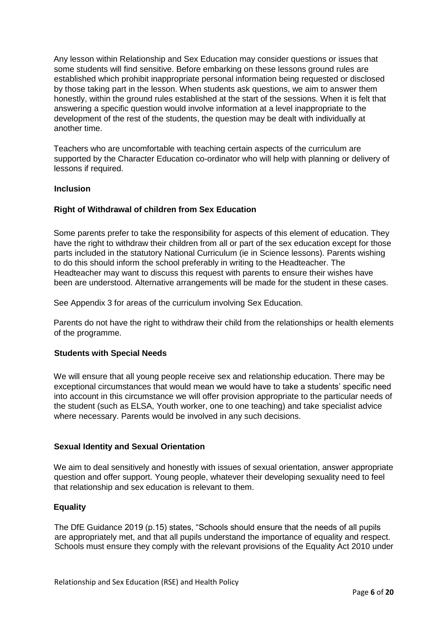Any lesson within Relationship and Sex Education may consider questions or issues that some students will find sensitive. Before embarking on these lessons ground rules are established which prohibit inappropriate personal information being requested or disclosed by those taking part in the lesson. When students ask questions, we aim to answer them honestly, within the ground rules established at the start of the sessions. When it is felt that answering a specific question would involve information at a level inappropriate to the development of the rest of the students, the question may be dealt with individually at another time.

Teachers who are uncomfortable with teaching certain aspects of the curriculum are supported by the Character Education co-ordinator who will help with planning or delivery of lessons if required.

#### **Inclusion**

#### **Right of Withdrawal of children from Sex Education**

Some parents prefer to take the responsibility for aspects of this element of education. They have the right to withdraw their children from all or part of the sex education except for those parts included in the statutory National Curriculum (ie in Science lessons). Parents wishing to do this should inform the school preferably in writing to the Headteacher. The Headteacher may want to discuss this request with parents to ensure their wishes have been are understood. Alternative arrangements will be made for the student in these cases.

See Appendix 3 for areas of the curriculum involving Sex Education.

Parents do not have the right to withdraw their child from the relationships or health elements of the programme.

#### **Students with Special Needs**

We will ensure that all young people receive sex and relationship education. There may be exceptional circumstances that would mean we would have to take a students' specific need into account in this circumstance we will offer provision appropriate to the particular needs of the student (such as ELSA, Youth worker, one to one teaching) and take specialist advice where necessary. Parents would be involved in any such decisions.

#### **Sexual Identity and Sexual Orientation**

We aim to deal sensitively and honestly with issues of sexual orientation, answer appropriate question and offer support. Young people, whatever their developing sexuality need to feel that relationship and sex education is relevant to them.

#### **Equality**

The DfE Guidance 2019 (p.15) states, "Schools should ensure that the needs of all pupils are appropriately met, and that all pupils understand the importance of equality and respect. Schools must ensure they comply with the relevant provisions of the Equality Act 2010 under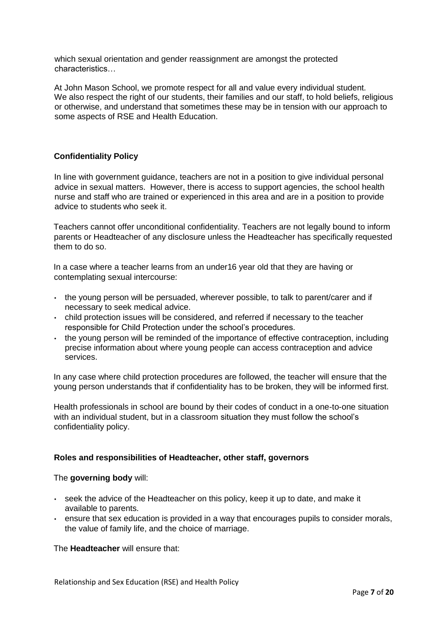which sexual orientation and gender reassignment are amongst the protected characteristics…

At John Mason School, we promote respect for all and value every individual student. We also respect the right of our students, their families and our staff, to hold beliefs, religious or otherwise, and understand that sometimes these may be in tension with our approach to some aspects of RSE and Health Education.

#### **Confidentiality Policy**

In line with government guidance, teachers are not in a position to give individual personal advice in sexual matters. However, there is access to support agencies, the school health nurse and staff who are trained or experienced in this area and are in a position to provide advice to students who seek it.

Teachers cannot offer unconditional confidentiality. Teachers are not legally bound to inform parents or Headteacher of any disclosure unless the Headteacher has specifically requested them to do so.

In a case where a teacher learns from an under16 year old that they are having or contemplating sexual intercourse:

- the young person will be persuaded, wherever possible, to talk to parent/carer and if necessary to seek medical advice.
- child protection issues will be considered, and referred if necessary to the teacher responsible for Child Protection under the school's procedures.
- the young person will be reminded of the importance of effective contraception, including precise information about where young people can access contraception and advice services.

In any case where child protection procedures are followed, the teacher will ensure that the young person understands that if confidentiality has to be broken, they will be informed first.

Health professionals in school are bound by their codes of conduct in a one-to-one situation with an individual student, but in a classroom situation they must follow the school's confidentiality policy.

#### **Roles and responsibilities of Headteacher, other staff, governors**

#### The **governing body** will:

- seek the advice of the Headteacher on this policy, keep it up to date, and make it available to parents.
- ensure that sex education is provided in a way that encourages pupils to consider morals, the value of family life, and the choice of marriage.

The **Headteacher** will ensure that:

Relationship and Sex Education (RSE) and Health Policy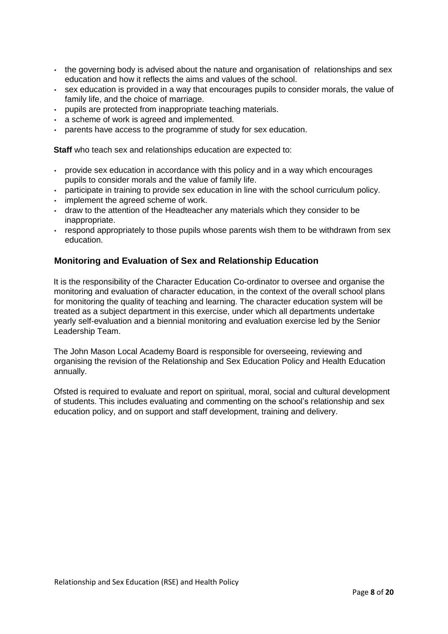- the governing body is advised about the nature and organisation of relationships and sex education and how it reflects the aims and values of the school.
- sex education is provided in a way that encourages pupils to consider morals, the value of family life, and the choice of marriage.
- pupils are protected from inappropriate teaching materials.
- a scheme of work is agreed and implemented.
- parents have access to the programme of study for sex education.

**Staff** who teach sex and relationships education are expected to:

- provide sex education in accordance with this policy and in a way which encourages pupils to consider morals and the value of family life.
- participate in training to provide sex education in line with the school curriculum policy.
- implement the agreed scheme of work.
- draw to the attention of the Headteacher any materials which they consider to be inappropriate.
- respond appropriately to those pupils whose parents wish them to be withdrawn from sex education.

#### **Monitoring and Evaluation of Sex and Relationship Education**

It is the responsibility of the Character Education Co-ordinator to oversee and organise the monitoring and evaluation of character education, in the context of the overall school plans for monitoring the quality of teaching and learning. The character education system will be treated as a subject department in this exercise, under which all departments undertake yearly self-evaluation and a biennial monitoring and evaluation exercise led by the Senior Leadership Team.

The John Mason Local Academy Board is responsible for overseeing, reviewing and organising the revision of the Relationship and Sex Education Policy and Health Education annually.

Ofsted is required to evaluate and report on spiritual, moral, social and cultural development of students. This includes evaluating and commenting on the school's relationship and sex education policy, and on support and staff development, training and delivery.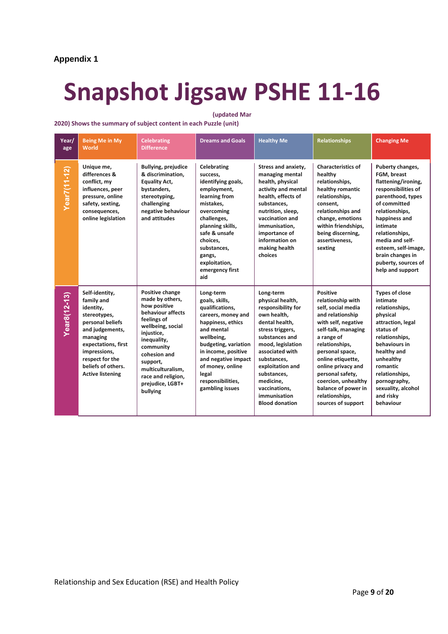#### **Appendix 1**

## **Snapshot Jigsaw PSHE 11-16**

#### **(updated Mar**

#### **2020) Shows the summary of subject content in each Puzzle (unit)**

| Year/<br>age | <b>Being Me in My</b><br>World                                                                                                                                                                                          | <b>Celebrating</b><br><b>Difference</b>                                                                                                                                                                                                                      | <b>Dreams and Goals</b>                                                                                                                                                                                                                                          | <b>Healthy Me</b>                                                                                                                                                                                                                                                                           | <b>Relationships</b>                                                                                                                                                                                                                                                                                                                 | <b>Changing Me</b>                                                                                                                                                                                                                                                                           |
|--------------|-------------------------------------------------------------------------------------------------------------------------------------------------------------------------------------------------------------------------|--------------------------------------------------------------------------------------------------------------------------------------------------------------------------------------------------------------------------------------------------------------|------------------------------------------------------------------------------------------------------------------------------------------------------------------------------------------------------------------------------------------------------------------|---------------------------------------------------------------------------------------------------------------------------------------------------------------------------------------------------------------------------------------------------------------------------------------------|--------------------------------------------------------------------------------------------------------------------------------------------------------------------------------------------------------------------------------------------------------------------------------------------------------------------------------------|----------------------------------------------------------------------------------------------------------------------------------------------------------------------------------------------------------------------------------------------------------------------------------------------|
| Year7(11-12) | Unique me,<br>differences &<br>conflict, my<br>influences, peer<br>pressure, online<br>safety, sexting,<br>consequences,<br>online legislation                                                                          | Bullying, prejudice<br>& discrimination,<br><b>Equality Act,</b><br>bystanders,<br>stereotyping,<br>challenging<br>negative behaviour<br>and attitudes                                                                                                       | Celebrating<br>success,<br>identifying goals,<br>employment,<br>learning from<br>mistakes.<br>overcoming<br>challenges,<br>planning skills,<br>safe & unsafe<br>choices,<br>substances.<br>gangs,<br>exploitation,<br>emergency first<br>aid                     | <b>Stress and anxiety,</b><br>managing mental<br>health, physical<br>activity and mental<br>health, effects of<br>substances.<br>nutrition, sleep,<br>vaccination and<br>immunisation.<br>importance of<br>information on<br>making health<br>choices                                       | <b>Characteristics of</b><br>healthy<br>relationships,<br>healthy romantic<br>relationships,<br>consent.<br>relationships and<br>change, emotions<br>within friendships,<br>being discerning,<br>assertiveness,<br>sexting                                                                                                           | Puberty changes,<br>FGM, breast<br>flattening/ironing,<br>responsibilities of<br>parenthood, types<br>of committed<br>relationships,<br>happiness and<br>intimate<br>relationships,<br>media and self-<br>esteem, self-image,<br>brain changes in<br>puberty, sources of<br>help and support |
| Year8(12-13) | Self-identity,<br>family and<br>identity,<br>stereotypes,<br>personal beliefs<br>and judgements,<br>managing<br>expectations, first<br>impressions,<br>respect for the<br>beliefs of others.<br><b>Active listening</b> | Positive change<br>made by others,<br>how positive<br>behaviour affects<br>feelings of<br>wellbeing, social<br>injustice,<br>inequality,<br>community<br>cohesion and<br>support,<br>multiculturalism,<br>race and religion,<br>prejudice, LGBT+<br>bullying | Long-term<br>goals, skills,<br>qualifications,<br>careers, money and<br>happiness, ethics<br>and mental<br>wellbeing,<br>budgeting, variation<br>in income, positive<br>and negative impact<br>of money, online<br>legal<br>responsibilities,<br>gambling issues | Long-term<br>physical health,<br>responsibility for<br>own health.<br>dental health,<br>stress triggers,<br>substances and<br>mood, legislation<br>associated with<br>substances,<br>exploitation and<br>substances.<br>medicine.<br>vaccinations,<br>immunisation<br><b>Blood donation</b> | <b>Positive</b><br>relationship with<br>self, social media<br>and relationship<br>with self, negative<br>self-talk, managing<br>a range of<br>relationships,<br>personal space,<br>online etiquette,<br>online privacy and<br>personal safety,<br>coercion, unhealthy<br>balance of power in<br>relationships,<br>sources of support | <b>Types of close</b><br>intimate<br>relationships,<br>physical<br>attraction, legal<br>status of<br>relationships,<br>behaviours in<br>healthy and<br>unhealthy<br>romantic<br>relationships,<br>pornography,<br>sexuality, alcohol<br>and risky<br>behaviour                               |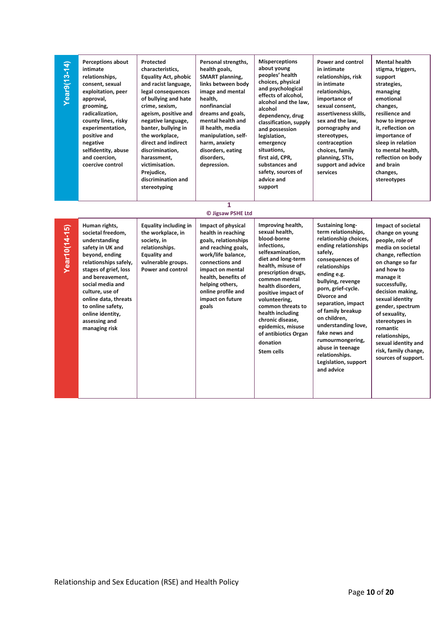| Year9(13-14)  | <b>Perceptions about</b><br>intimate<br>relationships,<br>consent, sexual<br>exploitation, peer<br>approval,<br>grooming,<br>radicalization,<br>county lines, risky<br>experimentation,<br>positive and<br>negative<br>selfidentity, abuse<br>and coercion,<br>coercive control                           | Protected<br>characteristics.<br><b>Equality Act, phobic</b><br>and racist language,<br>legal consequences<br>of bullying and hate<br>crime, sexism,<br>ageism, positive and<br>negative language,<br>banter, bullying in<br>the workplace,<br>direct and indirect<br>discrimination,<br>harassment,<br>victimisation.<br>Prejudice,<br>discrimination and<br>stereotyping | Personal strengths,<br>health goals,<br><b>SMART planning,</b><br>links between body<br>image and mental<br>health,<br>nonfinancial<br>dreams and goals,<br>mental health and<br>ill health, media<br>manipulation, self-<br>harm, anxiety<br>disorders, eating<br>disorders,<br>depression.<br>1 | <b>Misperceptions</b><br>about young<br>peoples' health<br>choices, physical<br>and psychological<br>effects of alcohol,<br>alcohol and the law.<br>alcohol<br>dependency, drug<br>classification, supply<br>and possession<br>legislation,<br>emergency<br>situations,<br>first aid, CPR,<br>substances and<br>safety, sources of<br>advice and<br>support                     | <b>Power and control</b><br>in intimate<br>relationships, risk<br>in intimate<br>relationships,<br>importance of<br>sexual consent,<br>assertiveness skills,<br>sex and the law,<br>pornography and<br>stereotypes,<br>contraception<br>choices, family<br>planning, STIs,<br>support and advice<br>services                                                                                                        | <b>Mental health</b><br>stigma, triggers,<br>support<br>strategies,<br>managing<br>emotional<br>changes,<br>resilience and<br>how to improve<br>it, reflection on<br>importance of<br>sleep in relation<br>to mental health,<br>reflection on body<br>and brain<br>changes,<br>stereotypes                                                                            |
|---------------|-----------------------------------------------------------------------------------------------------------------------------------------------------------------------------------------------------------------------------------------------------------------------------------------------------------|----------------------------------------------------------------------------------------------------------------------------------------------------------------------------------------------------------------------------------------------------------------------------------------------------------------------------------------------------------------------------|---------------------------------------------------------------------------------------------------------------------------------------------------------------------------------------------------------------------------------------------------------------------------------------------------|---------------------------------------------------------------------------------------------------------------------------------------------------------------------------------------------------------------------------------------------------------------------------------------------------------------------------------------------------------------------------------|---------------------------------------------------------------------------------------------------------------------------------------------------------------------------------------------------------------------------------------------------------------------------------------------------------------------------------------------------------------------------------------------------------------------|-----------------------------------------------------------------------------------------------------------------------------------------------------------------------------------------------------------------------------------------------------------------------------------------------------------------------------------------------------------------------|
|               |                                                                                                                                                                                                                                                                                                           |                                                                                                                                                                                                                                                                                                                                                                            | © Jigsaw PSHE Ltd                                                                                                                                                                                                                                                                                 |                                                                                                                                                                                                                                                                                                                                                                                 |                                                                                                                                                                                                                                                                                                                                                                                                                     |                                                                                                                                                                                                                                                                                                                                                                       |
| Year10(14-15) | Human rights,<br>societal freedom,<br>understanding<br>safety in UK and<br>beyond, ending<br>relationships safely,<br>stages of grief, loss<br>and bereavement,<br>social media and<br>culture, use of<br>online data, threats<br>to online safety,<br>online identity,<br>assessing and<br>managing risk | <b>Equality including in</b><br>the workplace, in<br>society, in<br>relationships.<br><b>Equality and</b><br>vulnerable groups.<br>Power and control                                                                                                                                                                                                                       | Impact of physical<br>health in reaching<br>goals, relationships<br>and reaching goals,<br>work/life balance,<br>connections and<br>impact on mental<br>health, benefits of<br>helping others,<br>online profile and<br>impact on future<br>goals                                                 | Improving health,<br>sexual health,<br>blood-borne<br>infections,<br>selfexamination,<br>diet and long-term<br>health, misuse of<br>prescription drugs,<br>common mental<br>health disorders,<br>positive impact of<br>volunteering,<br>common threats to<br>health including<br>chronic disease,<br>epidemics, misuse<br>of antibiotics Organ<br>donation<br><b>Stem cells</b> | Sustaining long-<br>term relationships,<br>relationship choices,<br>ending relationships<br>safely,<br>consequences of<br>relationships<br>ending e.g.<br>bullying, revenge<br>porn, grief-cycle.<br>Divorce and<br>separation, impact<br>of family breakup<br>on children,<br>understanding love,<br>fake news and<br>rumourmongering,<br>abuse in teenage<br>relationships.<br>Legislation, support<br>and advice | Impact of societal<br>change on young<br>people, role of<br>media on societal<br>change, reflection<br>on change so far<br>and how to<br>manage it<br>successfully,<br>decision making,<br>sexual identity<br>gender, spectrum<br>of sexuality,<br>stereotypes in<br>romantic<br>relationships,<br>sexual identity and<br>risk, family change,<br>sources of support. |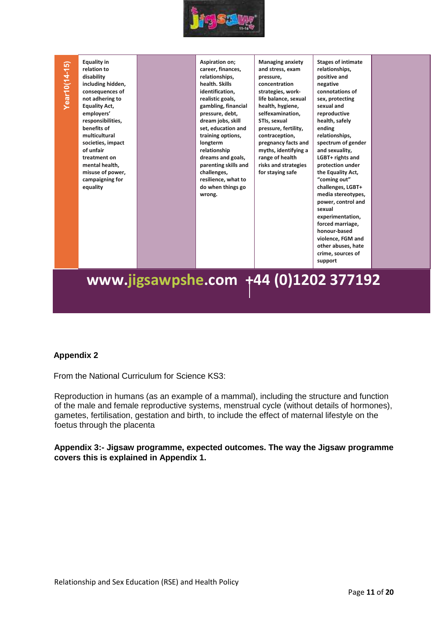

# (ear10(14-15)

**relation to disability including hidden, consequences of not adhering to Equality Act, employers' responsibilities, benefits of multicultural societies, impact of unfair treatment on mental health, misuse of power, campaigning for equality**

**Equality in** 

**Aspiration on; career, finances, relationships, health. Skills identification, realistic goals, gambling, financial pressure, debt, dream jobs, skill set, education and training options, longterm relationship dreams and goals, parenting skills and challenges, resilience, what to do when things go wrong.**

**Managing anxiety and stress, exam pressure, concentration strategies, worklife balance, sexual health, hygiene, selfexamination, STIs, sexual pressure, fertility, contraception, pregnancy facts and myths, identifying a range of health risks and strategies for staying safe**

**Stages of intimate relationships, positive and negative connotations of sex, protecting sexual and reproductive health, safely ending relationships, spectrum of gender and sexuality, LGBT+ rights and protection under the Equality Act, "coming out" challenges, LGBT+ media stereotypes, power, control and sexual experimentation, forced marriage, honour-based violence, FGM and other abuses, hate crime, sources of** 

**support**

### **www.jigsawpshe.com +44 (0)1202 377192<sup>2</sup>**

### **Appendix 2**

From the National Curriculum for Science KS3:

Reproduction in humans (as an example of a mammal), including the structure and function of the male and female reproductive systems, menstrual cycle (without details of hormones), gametes, fertilisation, gestation and birth, to include the effect of maternal lifestyle on the foetus through the placenta

**Appendix 3:- Jigsaw programme, expected outcomes. The way the Jigsaw programme covers this is explained in Appendix 1.**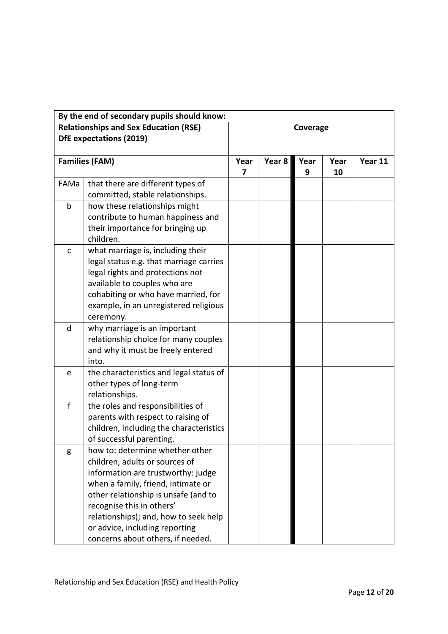|              | By the end of secondary pupils should know:                                                                                                                                                                                                                                                                                        |           |          |           |            |         |
|--------------|------------------------------------------------------------------------------------------------------------------------------------------------------------------------------------------------------------------------------------------------------------------------------------------------------------------------------------|-----------|----------|-----------|------------|---------|
|              | <b>Relationships and Sex Education (RSE)</b><br><b>DfE</b> expectations (2019)                                                                                                                                                                                                                                                     |           | Coverage |           |            |         |
|              | <b>Families (FAM)</b>                                                                                                                                                                                                                                                                                                              | Year<br>7 | Year 8   | Year<br>9 | Year<br>10 | Year 11 |
| FAMa         | that there are different types of<br>committed, stable relationships.                                                                                                                                                                                                                                                              |           |          |           |            |         |
| $\mathsf b$  | how these relationships might<br>contribute to human happiness and<br>their importance for bringing up<br>children.                                                                                                                                                                                                                |           |          |           |            |         |
| $\mathsf{C}$ | what marriage is, including their<br>legal status e.g. that marriage carries<br>legal rights and protections not<br>available to couples who are<br>cohabiting or who have married, for<br>example, in an unregistered religious<br>ceremony.                                                                                      |           |          |           |            |         |
| d            | why marriage is an important<br>relationship choice for many couples<br>and why it must be freely entered<br>into.                                                                                                                                                                                                                 |           |          |           |            |         |
| e            | the characteristics and legal status of<br>other types of long-term<br>relationships.                                                                                                                                                                                                                                              |           |          |           |            |         |
| f            | the roles and responsibilities of<br>parents with respect to raising of<br>children, including the characteristics<br>of successful parenting.                                                                                                                                                                                     |           |          |           |            |         |
| g            | how to: determine whether other<br>children, adults or sources of<br>information are trustworthy: judge<br>when a family, friend, intimate or<br>other relationship is unsafe (and to<br>recognise this in others'<br>relationships); and, how to seek help<br>or advice, including reporting<br>concerns about others, if needed. |           |          |           |            |         |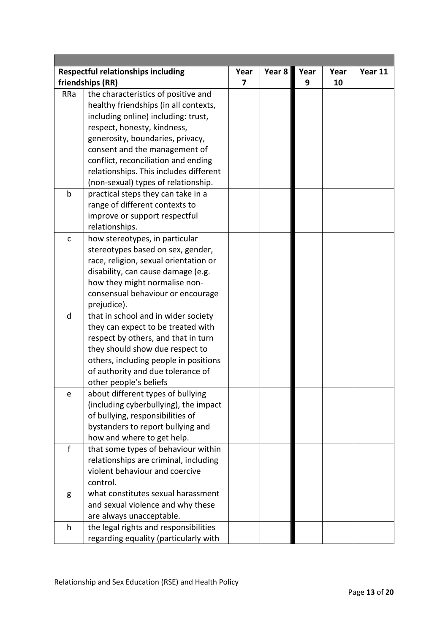|              | <b>Respectful relationships including</b> | Year | Year 8 | Year | Year | Year 11 |
|--------------|-------------------------------------------|------|--------|------|------|---------|
|              | friendships (RR)                          | 7    |        | 9    | 10   |         |
| RRa          | the characteristics of positive and       |      |        |      |      |         |
|              | healthy friendships (in all contexts,     |      |        |      |      |         |
|              | including online) including: trust,       |      |        |      |      |         |
|              | respect, honesty, kindness,               |      |        |      |      |         |
|              | generosity, boundaries, privacy,          |      |        |      |      |         |
|              | consent and the management of             |      |        |      |      |         |
|              | conflict, reconciliation and ending       |      |        |      |      |         |
|              | relationships. This includes different    |      |        |      |      |         |
|              | (non-sexual) types of relationship.       |      |        |      |      |         |
| $\mathsf b$  | practical steps they can take in a        |      |        |      |      |         |
|              | range of different contexts to            |      |        |      |      |         |
|              | improve or support respectful             |      |        |      |      |         |
|              | relationships.                            |      |        |      |      |         |
| $\mathsf{C}$ | how stereotypes, in particular            |      |        |      |      |         |
|              | stereotypes based on sex, gender,         |      |        |      |      |         |
|              | race, religion, sexual orientation or     |      |        |      |      |         |
|              | disability, can cause damage (e.g.        |      |        |      |      |         |
|              | how they might normalise non-             |      |        |      |      |         |
|              | consensual behaviour or encourage         |      |        |      |      |         |
|              | prejudice).                               |      |        |      |      |         |
| $\mathsf{d}$ | that in school and in wider society       |      |        |      |      |         |
|              | they can expect to be treated with        |      |        |      |      |         |
|              | respect by others, and that in turn       |      |        |      |      |         |
|              | they should show due respect to           |      |        |      |      |         |
|              | others, including people in positions     |      |        |      |      |         |
|              | of authority and due tolerance of         |      |        |      |      |         |
|              | other people's beliefs                    |      |        |      |      |         |
| e            | about different types of bullying         |      |        |      |      |         |
|              | (including cyberbullying), the impact     |      |        |      |      |         |
|              | of bullying, responsibilities of          |      |        |      |      |         |
|              | bystanders to report bullying and         |      |        |      |      |         |
|              | how and where to get help.                |      |        |      |      |         |
| f            | that some types of behaviour within       |      |        |      |      |         |
|              | relationships are criminal, including     |      |        |      |      |         |
|              | violent behaviour and coercive            |      |        |      |      |         |
|              | control.                                  |      |        |      |      |         |
| g            | what constitutes sexual harassment        |      |        |      |      |         |
|              | and sexual violence and why these         |      |        |      |      |         |
|              | are always unacceptable.                  |      |        |      |      |         |
| h            | the legal rights and responsibilities     |      |        |      |      |         |
|              | regarding equality (particularly with     |      |        |      |      |         |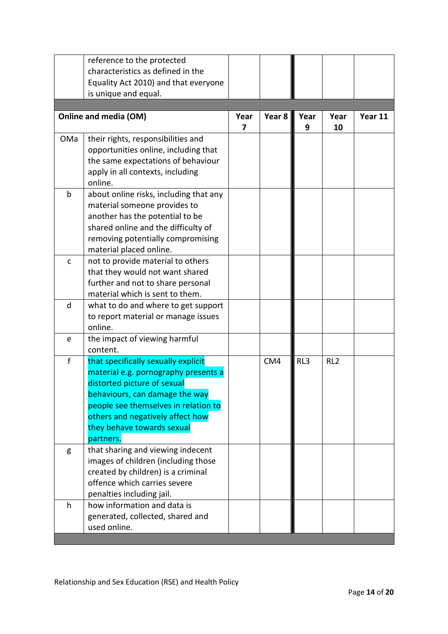|              | reference to the protected<br>characteristics as defined in the<br>Equality Act 2010) and that everyone                                                                                                                                                             |           |        |           |                 |         |
|--------------|---------------------------------------------------------------------------------------------------------------------------------------------------------------------------------------------------------------------------------------------------------------------|-----------|--------|-----------|-----------------|---------|
|              | is unique and equal.                                                                                                                                                                                                                                                |           |        |           |                 |         |
|              |                                                                                                                                                                                                                                                                     |           |        |           |                 |         |
|              | Online and media (OM)                                                                                                                                                                                                                                               | Year<br>7 | Year 8 | Year<br>9 | Year<br>10      | Year 11 |
| OMa          | their rights, responsibilities and<br>opportunities online, including that<br>the same expectations of behaviour<br>apply in all contexts, including<br>online.                                                                                                     |           |        |           |                 |         |
| b            | about online risks, including that any<br>material someone provides to<br>another has the potential to be<br>shared online and the difficulty of<br>removing potentially compromising<br>material placed online.                                                    |           |        |           |                 |         |
| $\mathsf{C}$ | not to provide material to others<br>that they would not want shared<br>further and not to share personal<br>material which is sent to them.                                                                                                                        |           |        |           |                 |         |
| d            | what to do and where to get support<br>to report material or manage issues<br>online.                                                                                                                                                                               |           |        |           |                 |         |
| e            | the impact of viewing harmful<br>content.                                                                                                                                                                                                                           |           |        |           |                 |         |
| $\mathsf{f}$ | that specifically sexually explicit<br>material e.g. pornography presents a<br>distorted picture of sexual<br>behaviours, can damage the way<br>people see themselves in relation to<br>others and negatively affect how<br>they behave towards sexual<br>partners. |           | CM4    | RL3       | RL <sub>2</sub> |         |
| g            | that sharing and viewing indecent<br>images of children (including those<br>created by children) is a criminal<br>offence which carries severe<br>penalties including jail.                                                                                         |           |        |           |                 |         |
| h            | how information and data is<br>generated, collected, shared and<br>used online.                                                                                                                                                                                     |           |        |           |                 |         |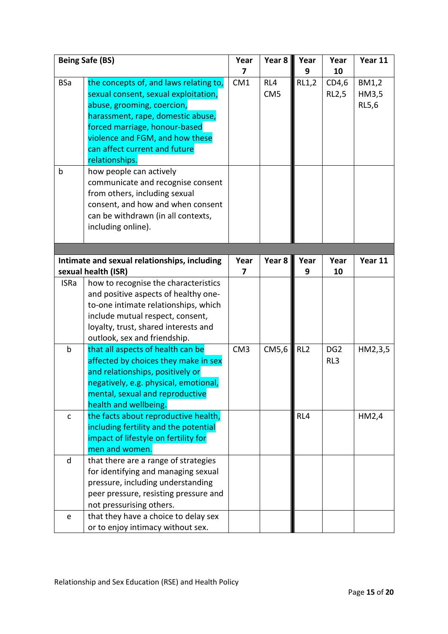|              | <b>Being Safe (BS)</b>                                                                                                                                                                                                                                                   | Year<br>7       | Year 8                 | Year<br>9       | Year<br>10             | Year 11                 |
|--------------|--------------------------------------------------------------------------------------------------------------------------------------------------------------------------------------------------------------------------------------------------------------------------|-----------------|------------------------|-----------------|------------------------|-------------------------|
| <b>BSa</b>   | the concepts of, and laws relating to,<br>sexual consent, sexual exploitation,<br>abuse, grooming, coercion,<br>harassment, rape, domestic abuse,<br>forced marriage, honour-based<br>violence and FGM, and how these<br>can affect current and future<br>relationships. | CM1             | RL4<br>CM <sub>5</sub> | RL1,2           | CD4,6<br><b>RL2,5</b>  | BM1,2<br>HM3,5<br>RL5,6 |
| b            | how people can actively<br>communicate and recognise consent<br>from others, including sexual<br>consent, and how and when consent<br>can be withdrawn (in all contexts,<br>including online).                                                                           |                 |                        |                 |                        |                         |
|              | Intimate and sexual relationships, including                                                                                                                                                                                                                             | Year            | Year 8                 | Year            | Year                   | Year 11                 |
|              | sexual health (ISR)                                                                                                                                                                                                                                                      | 7               |                        | 9               | 10                     |                         |
| <b>ISRa</b>  | how to recognise the characteristics<br>and positive aspects of healthy one-<br>to-one intimate relationships, which<br>include mutual respect, consent,<br>loyalty, trust, shared interests and<br>outlook, sex and friendship.                                         |                 |                        |                 |                        |                         |
| $\mathsf b$  | that all aspects of health can be<br>affected by choices they make in sex<br>and relationships, positively or<br>negatively, e.g. physical, emotional,<br>mental, sexual and reproductive<br>health and wellbeing.                                                       | CM <sub>3</sub> | CM5,6                  | RL <sub>2</sub> | DG <sub>2</sub><br>RL3 | HM2,3,5                 |
| $\mathsf{C}$ | the facts about reproductive health,<br>including fertility and the potential<br>impact of lifestyle on fertility for<br>men and women.                                                                                                                                  |                 |                        | RL4             |                        | HM2,4                   |
| $\sf d$      | that there are a range of strategies<br>for identifying and managing sexual<br>pressure, including understanding<br>peer pressure, resisting pressure and<br>not pressurising others.                                                                                    |                 |                        |                 |                        |                         |
| ${\bf e}$    | that they have a choice to delay sex<br>or to enjoy intimacy without sex.                                                                                                                                                                                                |                 |                        |                 |                        |                         |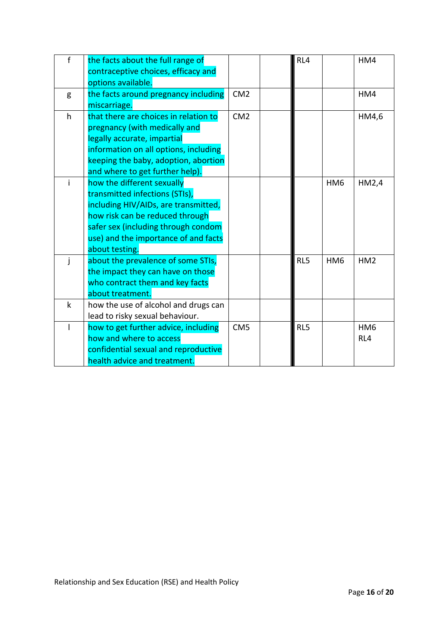| $\mathsf{f}$ | the facts about the full range of<br>contraceptive choices, efficacy and<br>options available.                                                                                                                                           |                 | RL4 |                 | HM4                    |
|--------------|------------------------------------------------------------------------------------------------------------------------------------------------------------------------------------------------------------------------------------------|-----------------|-----|-----------------|------------------------|
| g            | the facts around pregnancy including<br>miscarriage.                                                                                                                                                                                     | CM <sub>2</sub> |     |                 | HM4                    |
| h            | that there are choices in relation to<br>pregnancy (with medically and<br>legally accurate, impartial<br>information on all options, including<br>keeping the baby, adoption, abortion<br>and where to get further help).                | CM2             |     |                 | HM4,6                  |
| i            | how the different sexually<br>transmitted infections (STIs),<br>including HIV/AIDs, are transmitted,<br>how risk can be reduced through<br>safer sex (including through condom<br>use) and the importance of and facts<br>about testing. |                 |     | HM <sub>6</sub> | HM2,4                  |
|              | about the prevalence of some STIs,<br>the impact they can have on those<br>who contract them and key facts<br>about treatment.                                                                                                           |                 | RL5 | HM <sub>6</sub> | HM <sub>2</sub>        |
| k            | how the use of alcohol and drugs can<br>lead to risky sexual behaviour.                                                                                                                                                                  |                 |     |                 |                        |
|              | how to get further advice, including<br>how and where to access<br>confidential sexual and reproductive<br>health advice and treatment.                                                                                                  | CM <sub>5</sub> | RL5 |                 | HM <sub>6</sub><br>RL4 |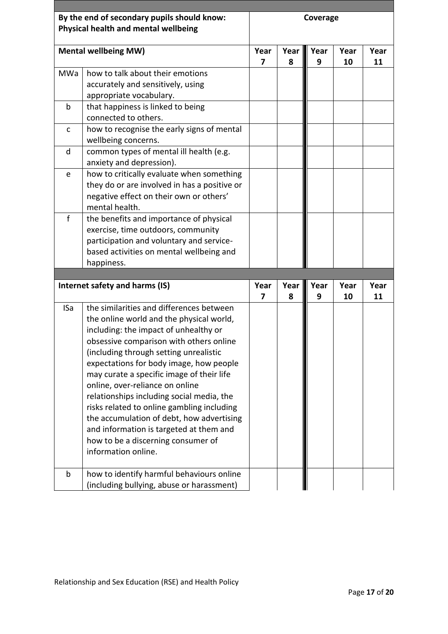|              | By the end of secondary pupils should know:  |      |      | Coverage |      |      |
|--------------|----------------------------------------------|------|------|----------|------|------|
|              | Physical health and mental wellbeing         |      |      |          |      |      |
|              | <b>Mental wellbeing MW)</b>                  | Year | Year | Year     | Year | Year |
|              |                                              | 7    | 8    | 9        | 10   | 11   |
| MWa          | how to talk about their emotions             |      |      |          |      |      |
|              | accurately and sensitively, using            |      |      |          |      |      |
|              | appropriate vocabulary.                      |      |      |          |      |      |
| b            | that happiness is linked to being            |      |      |          |      |      |
|              | connected to others.                         |      |      |          |      |      |
| $\mathsf{C}$ | how to recognise the early signs of mental   |      |      |          |      |      |
|              | wellbeing concerns.                          |      |      |          |      |      |
| d            | common types of mental ill health (e.g.      |      |      |          |      |      |
|              | anxiety and depression).                     |      |      |          |      |      |
| e            | how to critically evaluate when something    |      |      |          |      |      |
|              | they do or are involved in has a positive or |      |      |          |      |      |
|              | negative effect on their own or others'      |      |      |          |      |      |
|              | mental health.                               |      |      |          |      |      |
| f            | the benefits and importance of physical      |      |      |          |      |      |
|              | exercise, time outdoors, community           |      |      |          |      |      |
|              | participation and voluntary and service-     |      |      |          |      |      |
|              | based activities on mental wellbeing and     |      |      |          |      |      |
|              | happiness.                                   |      |      |          |      |      |
|              |                                              |      |      |          |      |      |
|              | Internet safety and harms (IS)               | Year | Year | Year     | Year | Year |
|              |                                              | 7    | 8    | 9        | 10   | 11   |
| <b>ISa</b>   | the similarities and differences between     |      |      |          |      |      |
|              | the online world and the physical world,     |      |      |          |      |      |
|              | including: the impact of unhealthy or        |      |      |          |      |      |
|              | obsessive comparison with others online      |      |      |          |      |      |
|              | (including through setting unrealistic       |      |      |          |      |      |
|              | expectations for body image, how people      |      |      |          |      |      |
|              | may curate a specific image of their life    |      |      |          |      |      |
|              | online, over-reliance on online              |      |      |          |      |      |
|              | relationships including social media, the    |      |      |          |      |      |
|              | risks related to online gambling including   |      |      |          |      |      |
|              | the accumulation of debt, how advertising    |      |      |          |      |      |
|              | and information is targeted at them and      |      |      |          |      |      |
|              | how to be a discerning consumer of           |      |      |          |      |      |
|              | information online.                          |      |      |          |      |      |
| b            | how to identify harmful behaviours online    |      |      |          |      |      |
|              | (including bullying, abuse or harassment)    |      |      |          |      |      |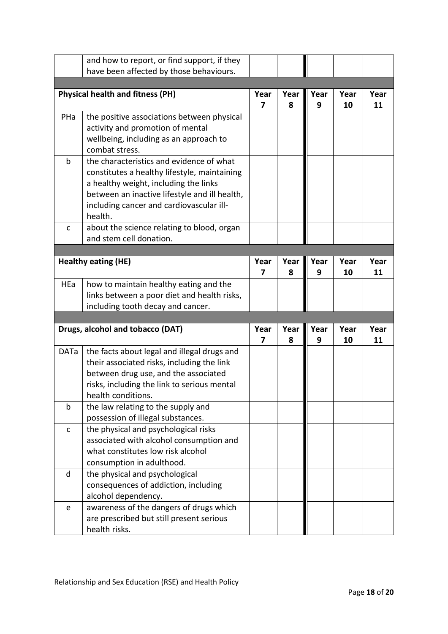|              | and how to report, or find support, if they               |      |      |      |      |      |
|--------------|-----------------------------------------------------------|------|------|------|------|------|
|              | have been affected by those behaviours.                   |      |      |      |      |      |
|              |                                                           |      |      |      |      |      |
|              | <b>Physical health and fitness (PH)</b>                   | Year | Year | Year | Year | Year |
|              |                                                           | 7    | 8    | 9    | 10   | 11   |
| PHa          | the positive associations between physical                |      |      |      |      |      |
|              | activity and promotion of mental                          |      |      |      |      |      |
|              | wellbeing, including as an approach to                    |      |      |      |      |      |
|              | combat stress.                                            |      |      |      |      |      |
| $\mathsf b$  | the characteristics and evidence of what                  |      |      |      |      |      |
|              | constitutes a healthy lifestyle, maintaining              |      |      |      |      |      |
|              | a healthy weight, including the links                     |      |      |      |      |      |
|              | between an inactive lifestyle and ill health,             |      |      |      |      |      |
|              | including cancer and cardiovascular ill-                  |      |      |      |      |      |
|              | health.                                                   |      |      |      |      |      |
| $\mathsf{C}$ | about the science relating to blood, organ                |      |      |      |      |      |
|              | and stem cell donation.                                   |      |      |      |      |      |
|              |                                                           |      |      |      |      |      |
|              | <b>Healthy eating (HE)</b>                                | Year | Year | Year | Year | Year |
|              |                                                           | 7    | 8    | 9    | 10   | 11   |
| HEa          | how to maintain healthy eating and the                    |      |      |      |      |      |
|              | links between a poor diet and health risks,               |      |      |      |      |      |
|              | including tooth decay and cancer.                         |      |      |      |      |      |
|              |                                                           |      |      |      |      |      |
|              | Drugs, alcohol and tobacco (DAT)                          | Year | Year | Year | Year | Year |
|              |                                                           | 7    | 8    | 9    | 10   | 11   |
| <b>DATa</b>  | the facts about legal and illegal drugs and               |      |      |      |      |      |
|              | their associated risks, including the link                |      |      |      |      |      |
|              |                                                           |      |      |      |      |      |
|              | between drug use, and the associated                      |      |      |      |      |      |
|              | risks, including the link to serious mental               |      |      |      |      |      |
|              | health conditions.                                        |      |      |      |      |      |
| b            | the law relating to the supply and                        |      |      |      |      |      |
|              | possession of illegal substances.                         |      |      |      |      |      |
| $\mathsf{C}$ | the physical and psychological risks                      |      |      |      |      |      |
|              | associated with alcohol consumption and                   |      |      |      |      |      |
|              | what constitutes low risk alcohol                         |      |      |      |      |      |
|              | consumption in adulthood.                                 |      |      |      |      |      |
| d            | the physical and psychological                            |      |      |      |      |      |
|              | consequences of addiction, including                      |      |      |      |      |      |
|              | alcohol dependency.                                       |      |      |      |      |      |
| e            | awareness of the dangers of drugs which                   |      |      |      |      |      |
|              | are prescribed but still present serious<br>health risks. |      |      |      |      |      |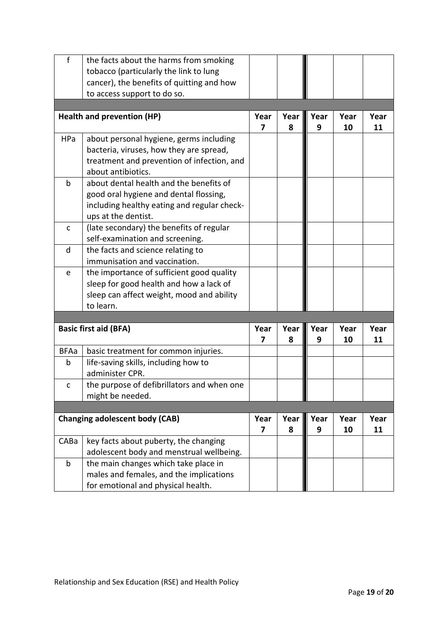| $\mathsf{f}$                          | the facts about the harms from smoking      |      |      |      |      |      |
|---------------------------------------|---------------------------------------------|------|------|------|------|------|
|                                       | tobacco (particularly the link to lung      |      |      |      |      |      |
|                                       | cancer), the benefits of quitting and how   |      |      |      |      |      |
|                                       | to access support to do so.                 |      |      |      |      |      |
|                                       |                                             |      |      |      |      |      |
| <b>Health and prevention (HP)</b>     |                                             | Year | Year | Year | Year | Year |
|                                       |                                             | 7    | 8    | 9    | 10   | 11   |
| HPa                                   | about personal hygiene, germs including     |      |      |      |      |      |
|                                       | bacteria, viruses, how they are spread,     |      |      |      |      |      |
|                                       | treatment and prevention of infection, and  |      |      |      |      |      |
|                                       | about antibiotics.                          |      |      |      |      |      |
| $\mathsf b$                           | about dental health and the benefits of     |      |      |      |      |      |
|                                       | good oral hygiene and dental flossing,      |      |      |      |      |      |
|                                       | including healthy eating and regular check- |      |      |      |      |      |
|                                       | ups at the dentist.                         |      |      |      |      |      |
| $\mathsf{C}$                          | (late secondary) the benefits of regular    |      |      |      |      |      |
|                                       | self-examination and screening.             |      |      |      |      |      |
| d                                     | the facts and science relating to           |      |      |      |      |      |
|                                       | immunisation and vaccination.               |      |      |      |      |      |
| e                                     | the importance of sufficient good quality   |      |      |      |      |      |
|                                       | sleep for good health and how a lack of     |      |      |      |      |      |
|                                       | sleep can affect weight, mood and ability   |      |      |      |      |      |
|                                       | to learn.                                   |      |      |      |      |      |
|                                       |                                             |      |      |      |      |      |
| <b>Basic first aid (BFA)</b>          |                                             | Year | Year | Year | Year | Year |
|                                       |                                             | 7    | 8    | 9    | 10   | 11   |
| <b>BFAa</b>                           | basic treatment for common injuries.        |      |      |      |      |      |
| b                                     | life-saving skills, including how to        |      |      |      |      |      |
|                                       | administer CPR.                             |      |      |      |      |      |
| $\mathsf{C}$                          | the purpose of defibrillators and when one  |      |      |      |      |      |
|                                       | might be needed.                            |      |      |      |      |      |
|                                       |                                             |      |      |      |      |      |
| <b>Changing adolescent body (CAB)</b> |                                             | Year | Year | Year | Year | Year |
|                                       |                                             | 7    | 8    | 9    | 10   | 11   |
| CABa                                  | key facts about puberty, the changing       |      |      |      |      |      |
|                                       | adolescent body and menstrual wellbeing.    |      |      |      |      |      |
| $\mathsf b$                           | the main changes which take place in        |      |      |      |      |      |
|                                       | males and females, and the implications     |      |      |      |      |      |
|                                       | for emotional and physical health.          |      |      |      |      |      |